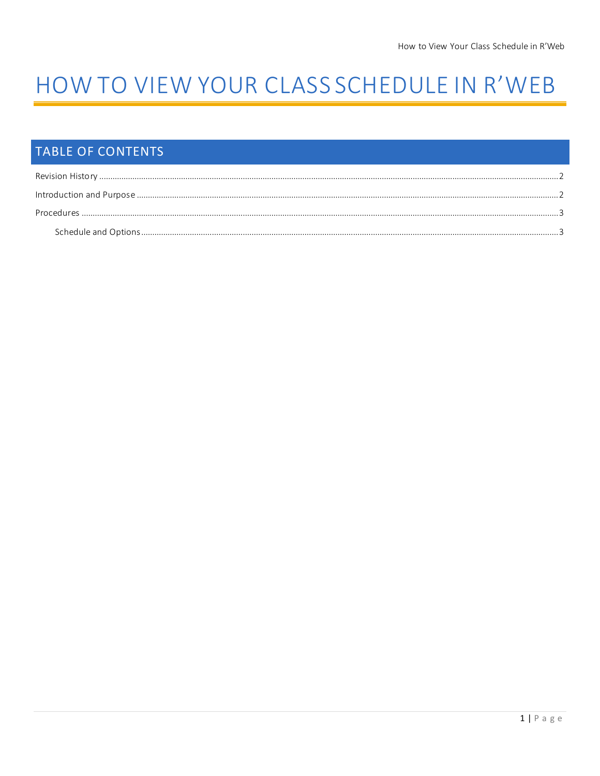# HOW TO VIEW YOUR CLASS SCHEDULE IN R'WEB

## TABLE OF CONTENTS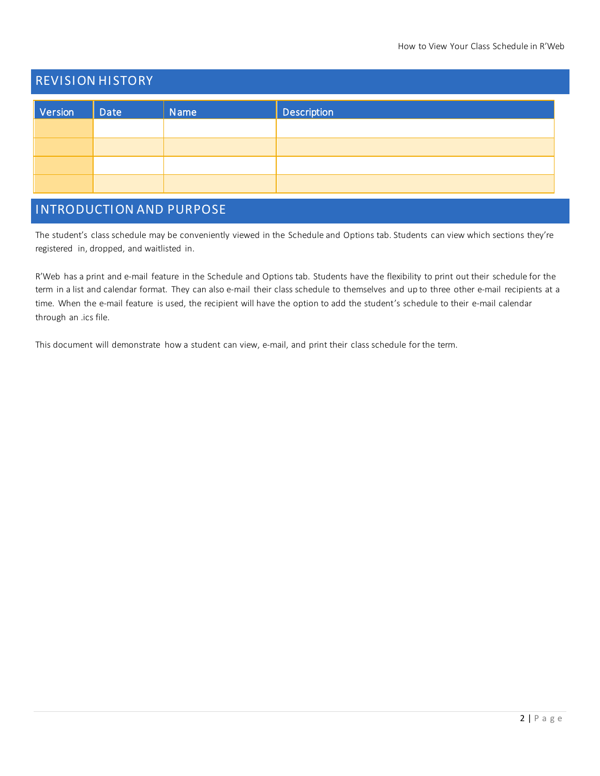### <span id="page-1-0"></span>**REVISION HISTORY**

| Version | Date | Name | <b>Description</b> |
|---------|------|------|--------------------|
|         |      |      |                    |
|         |      |      |                    |
|         |      |      |                    |
|         |      |      |                    |

### <span id="page-1-1"></span>INTRODUCTION AND PURPOSE

The student's class schedule may be conveniently viewed in the Schedule and Options tab. Students can view which sections they're registered in, dropped, and waitlisted in.

R'Web has a print and e-mail feature in the Schedule and Options tab. Students have the flexibility to print out their schedule for the term in a list and calendar format. They can also e-mail their class schedule to themselves and up to three other e-mail recipients at a time. When the e-mail feature is used, the recipient will have the option to add the student's schedule to their e-mail calendar through an .ics file.

This document will demonstrate how a student can view, e-mail, and print their class schedule for the term.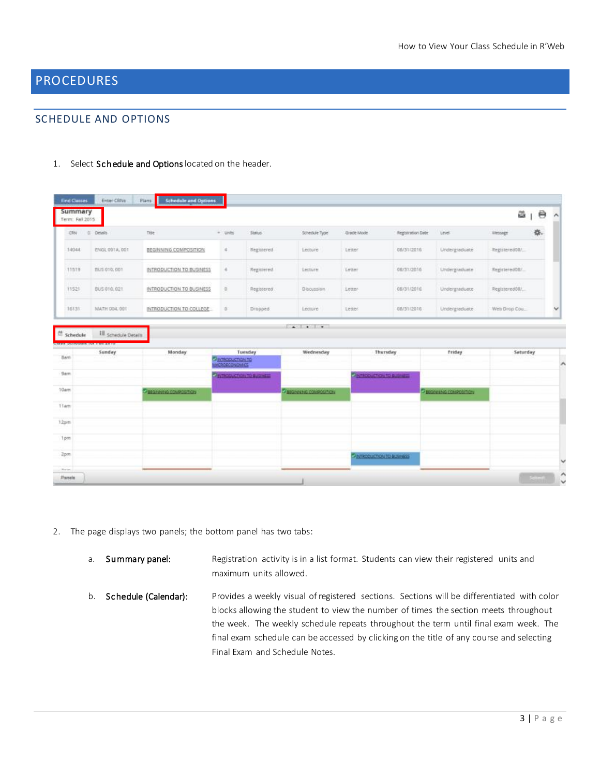### <span id="page-2-0"></span>PROCEDURES

### <span id="page-2-1"></span>SCHEDULE AND OPTIONS

| 1. | Select Schedule and Options located on the header. |  |  |
|----|----------------------------------------------------|--|--|
|----|----------------------------------------------------|--|--|

| Summary<br>Term: Fall 2015     |                                                                     |                              |                         |                           |                                         |                                  |                   |                            | $\Theta$<br>a 1                                    | $\sim$ |
|--------------------------------|---------------------------------------------------------------------|------------------------------|-------------------------|---------------------------|-----------------------------------------|----------------------------------|-------------------|----------------------------|----------------------------------------------------|--------|
| <b>CRN</b>                     | C. Details                                                          | Title                        | * Units                 | Statut.                   | Schedule Type                           | Grade Mode                       | Registration Date | Level                      | $\frac{1}{2} \frac{d\tau}{dt}$ .<br><b>Message</b> |        |
| 14044                          | ENGL 001A, 001                                                      | BEGINNING COMPOSITION        | ×                       | Registered                | Lecture                                 | Letter                           | 08/31/2016        | Undergraduate              | RegisteredOW                                       |        |
| 11519                          | BUS 010, 001                                                        | INTRODUCTION TO BUSINESS     | $\alpha$                | Registered                | Lecture                                 | Letter                           | 08/31/2016        | <b>Undergraduate</b>       | RegisteredOB/                                      |        |
| 11521                          | BUS 010, 021                                                        | INTRODUCTION TO BUSINESS     | $\Omega$                | Registered                | Discussion                              | Letter.                          | 08/31/2016        | Undergraduate              | Registered08/                                      |        |
| 16131                          | MATH 004, 001                                                       | INTRODUCTION TO COLLEGE      | $\sigma$                | Dropped                   | Lecture                                 | Letter                           | 08/31/2016        | Undergraduate              | Web Drop Cou                                       |        |
|                                | <b>Ill</b> Schedule Details<br><b>UNION DESCRIPTION IN PRINTING</b> |                              |                         |                           | $-1$ . $-1$                             |                                  |                   |                            |                                                    |        |
| <sup>65</sup> Schedule<br>Sam. | Sunday                                                              | Monday                       |                         | Tuesday                   | Wednesday                               |                                  | Thursday          | friday                     | Saturday                                           |        |
|                                |                                                                     |                              | <b>C</b> IMBORACTION TO |                           |                                         |                                  |                   |                            |                                                    |        |
|                                |                                                                     |                              |                         | O MINOSUCTION TO BUSINESS |                                         | <b>Participation to substant</b> |                   |                            |                                                    |        |
| 9am<br>10 <sub>atm</sub>       |                                                                     | <b>BEQUINE A COMPOSITION</b> |                         |                           | <b><i>Chappearing conjectations</i></b> |                                  |                   | Technologie NG COMPOSITION |                                                    |        |
| 11em                           |                                                                     |                              |                         |                           |                                         |                                  |                   |                            |                                                    |        |
| 12pm                           |                                                                     |                              |                         |                           |                                         |                                  |                   |                            |                                                    |        |
| Tpm                            |                                                                     |                              |                         |                           |                                         |                                  |                   |                            |                                                    |        |

- 2. The page displays two panels; the bottom panel has two tabs:
	- a. Summary panel: Registration activity is in a list format. Students can view their registered units and maximum units allowed.
	- b. Schedule (Calendar): Provides a weekly visual of registered sections. Sections will be differentiated with color blocks allowing the student to view the number of times the section meets throughout the week. The weekly schedule repeats throughout the term until final exam week. The final exam schedule can be accessed by clicking on the title of any course and selecting Final Exam and Schedule Notes.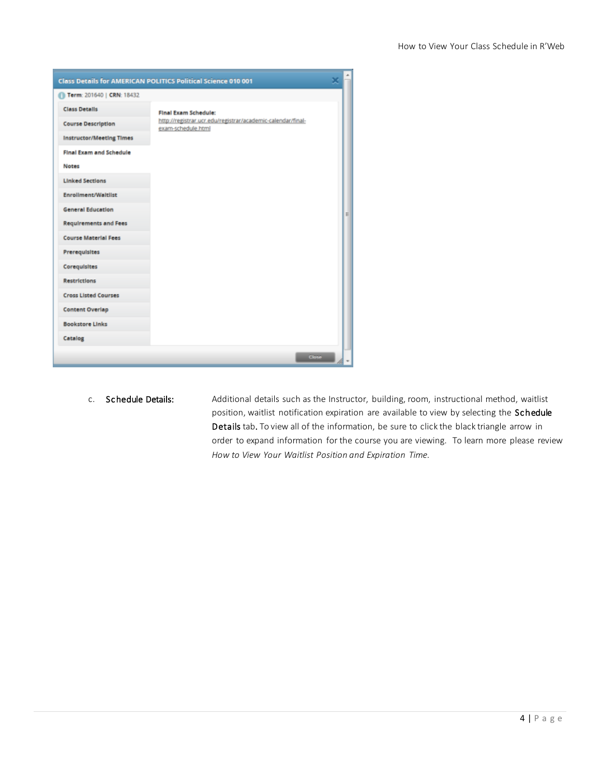|                                 | <b>Class Details for AMERICAN POLITICS Political Science 010 001</b>              |   |
|---------------------------------|-----------------------------------------------------------------------------------|---|
| Term: 201640   CRN: 18432       |                                                                                   |   |
| <b>Class Details</b>            | Final Exam Schedule:                                                              |   |
| <b>Course Description</b>       | http://registrar.ucr.edu/registrar/academic-calendar/final-<br>exam-schedule.html |   |
| <b>Instructor/Meeting Times</b> |                                                                                   |   |
| Final Exam and Schedule         |                                                                                   |   |
| <b>Notes</b>                    |                                                                                   |   |
| <b>Linked Sections</b>          |                                                                                   |   |
| <b>Enrollment/Waltlist</b>      |                                                                                   |   |
| <b>General Education</b>        |                                                                                   | E |
| <b>Requirements and Fees</b>    |                                                                                   |   |
| <b>Course Material Fees</b>     |                                                                                   |   |
| Prerequisites                   |                                                                                   |   |
| Coregulsites                    |                                                                                   |   |
| <b>Restrictions</b>             |                                                                                   |   |
| <b>Cross Listed Courses</b>     |                                                                                   |   |
| <b>Content Overlap</b>          |                                                                                   |   |
| <b>Bookstore Links</b>          |                                                                                   |   |
| Catalog                         |                                                                                   |   |
|                                 | <b>Close</b>                                                                      |   |

c. Schedule Details: Additional details such as the Instructor, building, room, instructional method, waitlist position, waitlist notification expiration are available to view by selecting the Schedule Details tab. To view all of the information, be sure to click the black triangle arrow in order to expand information for the course you are viewing. To learn more please review *How to View Your Waitlist Position and Expiration Time.*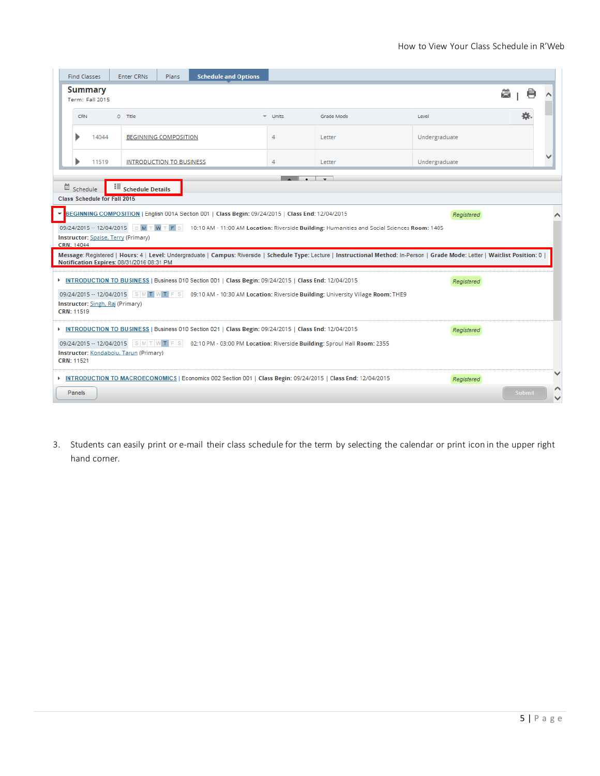|            | <b>Find Classes</b>                                                                                                                                                                                                                                                                                                                                             |                                          | <b>Enter CRNs</b>       | Plans                           | <b>Schedule and Options</b>                                                                                    |                      |                                                                                                                                                                                  |               |   |               |  |
|------------|-----------------------------------------------------------------------------------------------------------------------------------------------------------------------------------------------------------------------------------------------------------------------------------------------------------------------------------------------------------------|------------------------------------------|-------------------------|---------------------------------|----------------------------------------------------------------------------------------------------------------|----------------------|----------------------------------------------------------------------------------------------------------------------------------------------------------------------------------|---------------|---|---------------|--|
|            | <b>Summary</b><br>Term: Fall 2015                                                                                                                                                                                                                                                                                                                               |                                          |                         |                                 |                                                                                                                |                      |                                                                                                                                                                                  |               | 璺 | ë             |  |
|            | <b>CRN</b>                                                                                                                                                                                                                                                                                                                                                      |                                          | ☆ Title                 |                                 | $\overline{\phantom{a}}$                                                                                       | Units                | Grade Mode                                                                                                                                                                       | Level         |   |               |  |
|            |                                                                                                                                                                                                                                                                                                                                                                 | 14044                                    |                         | <b>BEGINNING COMPOSITION</b>    |                                                                                                                | 4                    | Letter                                                                                                                                                                           | Undergraduate |   |               |  |
|            |                                                                                                                                                                                                                                                                                                                                                                 | 11519                                    |                         | <b>INTRODUCTION TO BUSINESS</b> |                                                                                                                | 4                    | Letter                                                                                                                                                                           | Undergraduate |   |               |  |
|            | Schedule                                                                                                                                                                                                                                                                                                                                                        | 瞔<br><b>Class Schedule for Fall 2015</b> | <b>Schedule Details</b> |                                 |                                                                                                                | $\sim$ $\sim$ $\sim$ |                                                                                                                                                                                  |               |   |               |  |
| CRN: 14044 | EGINNING COMPOSITION   English 001A Section 001   Class Begin: 09/24/2015   Class End: 12/04/2015<br>Registered<br>09/24/2015 - 12/04/2015 SMTWTFS<br>10:10 AM - 11:00 AM Location: Riverside Building: Humanities and Social Sciences Room: 1405<br><b>Instructor: Spaise, Terry (Primary)</b>                                                                 |                                          |                         |                                 |                                                                                                                |                      |                                                                                                                                                                                  |               |   |               |  |
|            |                                                                                                                                                                                                                                                                                                                                                                 |                                          |                         |                                 |                                                                                                                |                      | Message: Registered   Hours: 4   Level: Undergraduate   Campus: Riverside   Schedule Type: Lecture   Instructional Method: In-Person   Grade Mode: Letter   Waitlist Position: 0 |               |   |               |  |
|            | Notification Expires: 08/31/2016 08:31 PM<br>INTRODUCTION TO BUSINESS   Business 010 Section 001   Class Begin: 09/24/2015   Class End: 12/04/2015<br>Registered<br>09/24/2015 - 12/04/2015 $\left  S \right $ M T W T F S<br>09:10 AM - 10:30 AM Location: Riverside Building: University Village Room: THE9<br>Instructor: Singh, Raj (Primary)<br>CRN: 11519 |                                          |                         |                                 |                                                                                                                |                      |                                                                                                                                                                                  |               |   |               |  |
|            | INTRODUCTION TO BUSINESS   Business 010 Section 021   Class Begin: 09/24/2015   Class End: 12/04/2015<br>Registered                                                                                                                                                                                                                                             |                                          |                         |                                 |                                                                                                                |                      |                                                                                                                                                                                  |               |   |               |  |
|            | 09/24/2015 - 12/04/2015 SMTWTFS 02:10 PM - 03:00 PM Location: Riverside Building: Sproul Hall Room: 2355<br>Instructor: Kondabolu, Tarun (Primary)<br>CRN: 11521                                                                                                                                                                                                |                                          |                         |                                 |                                                                                                                |                      |                                                                                                                                                                                  |               |   |               |  |
|            |                                                                                                                                                                                                                                                                                                                                                                 |                                          |                         |                                 | ▶ INTRODUCTION TO MACROECONOMICS   Economics 002 Section 001   Class Begin: 09/24/2015   Class End: 12/04/2015 |                      |                                                                                                                                                                                  | Registered    |   |               |  |
|            | Panels                                                                                                                                                                                                                                                                                                                                                          |                                          |                         |                                 |                                                                                                                |                      |                                                                                                                                                                                  |               |   | <b>Submit</b> |  |

3. Students can easily print or e-mail their class schedule for the term by selecting the calendar or print icon in the upper right hand corner.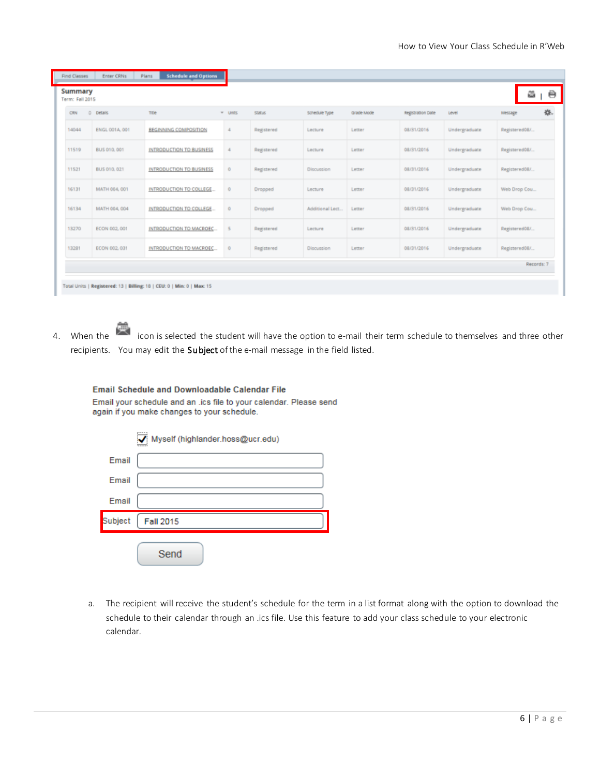| Summary<br>Term: Fall 2015 |                    |                                 |            |               |                  |            |                   |               | e             |
|----------------------------|--------------------|---------------------------------|------------|---------------|------------------|------------|-------------------|---------------|---------------|
| CRN                        | $\circ$<br>petals. | <b>Title</b>                    | $=" UNITS$ | <b>STATUS</b> | schedule type    | Grade Mode | Registration Date | Level         | 桊.<br>Message |
| 14044                      | ENGL 001A, 001     | <b>BEGINNING COMPOSITION</b>    | 4          | Registered    | Lecture          | Letter     | 08/31/2016        | Undergraduate | Registered08/ |
| 11519                      | BUS 010, 001       | INTRODUCTION TO BUSINESS        | 4          | Registered    | Lecture          | Letter     | 08/31/2016        | Undergraduate | Registered08/ |
| 11521                      | BUS 010, 021       | <b>INTRODUCTION TO BUSINESS</b> | 0          | Registered    | Discussion       | Letter     | 08/31/2016        | Undergraduate | Registered08/ |
| 16131                      | MATH 004, 001      | INTRODUCTION TO COLLEGE         | $^{\circ}$ | Dropped       | Lecture          | Letter     | 08/31/2016        | Undergraduate | Web Drop Cou  |
| 16134                      | MATH 004, 004      | INTRODUCTION TO COLLEGE         | $\circ$    | Dropped       | Additional Lect. | Letter     | 08/31/2016        | Undergraduate | Web Drop Cou  |
| 13270                      | ECON 002, 001      | INTRODUCTION TO MACROEC         | 5          | Registered    | Lecture          | Letter     | 08/31/2016        | Undergraduate | Registered08/ |
| 13281                      | ECON 002, 031      | INTRODUCTION TO MACROEC         | $\circ$    | Registered    | Discussion       | Letter     | 08/31/2016        | Undergraduate | Registered08/ |
|                            |                    |                                 |            |               |                  |            |                   |               | Records: 7    |

4. When the interest in the icon is selected the student will have the option to e-mail their term schedule to themselves and three other recipients. You may edit the Subject of the e-mail message in the field listed.

**Email Schedule and Downloadable Calendar File** 

Email your schedule and an .ics file to your calendar. Please send again if you make changes to your schedule.

|         | Myself (highlander.hoss@ucr.edu) |
|---------|----------------------------------|
| Email   |                                  |
| Email   |                                  |
| Email   |                                  |
| Subject | <b>Fall 2015</b>                 |
|         | Send                             |

a. The recipient will receive the student's schedule for the term in a list format along with the option to download the schedule to their calendar through an .ics file. Use this feature to add your class schedule to your electronic calendar.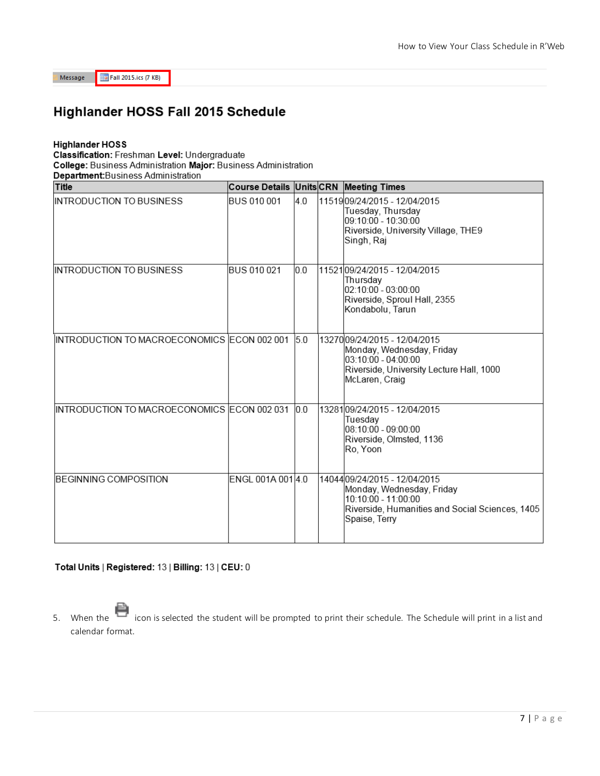Message

Fall 2015.ics (7 KB)

### Highlander HOSS Fall 2015 Schedule

#### **Highlander HOSS**

Classification: Freshman Level: Undergraduate

College: Business Administration Major: Business Administration

Department: Business Administration

| Title                                       | Course Details Units CRN Meeting Times |     |                                                                                                                                                             |
|---------------------------------------------|----------------------------------------|-----|-------------------------------------------------------------------------------------------------------------------------------------------------------------|
| INTRODUCTION TO BUSINESS                    | BUS 010 001                            | 4.0 | 11519 09/24/2015 - 12/04/2015<br>Tuesday, Thursday<br>l09:10:00 - 10:30:00<br>Riverside, University Village, THE9<br>Singh, Raj                             |
| INTRODUCTION TO BUSINESS                    | BUS 010 021                            | 0.0 | 1152109/24/2015 - 12/04/2015<br>Thursday<br>02:10:00 - 03:00:00<br>Riverside, Sproul Hall, 2355<br>Kondabolu, Tarun                                         |
| INTRODUCTION TO MACROECONOMICS ECON 002 001 |                                        | 5.0 | 1327009/24/2015 - 12/04/2015<br>Monday, Wednesday, Friday<br>03:10:00 - 04:00:00<br>Riverside, University Lecture Hall, 1000<br>McLaren, Craig              |
| INTRODUCTION TO MACROECONOMICS ECON 002 031 |                                        | 0.0 | 1328109/24/2015 - 12/04/2015<br>Tuesday<br>08:10:00 - 09:00:00<br>Riverside, Olmsted, 1136<br>Ro, Yoon                                                      |
| BEGINNING COMPOSITION                       | ENGL 001A 001 4.0                      |     | 14044 09/24 / 2015 - 12 / 04 / 2015<br>Monday, Wednesday, Friday<br>10:10:00 - 11:00:00<br>Riverside, Humanities and Social Sciences, 1405<br>Spaise, Terry |

#### Total Units | Registered: 13 | Billing: 13 | CEU: 0

5. When the icon is selected the student will be prompted to print their schedule. The Schedule will print in a list and calendar format.